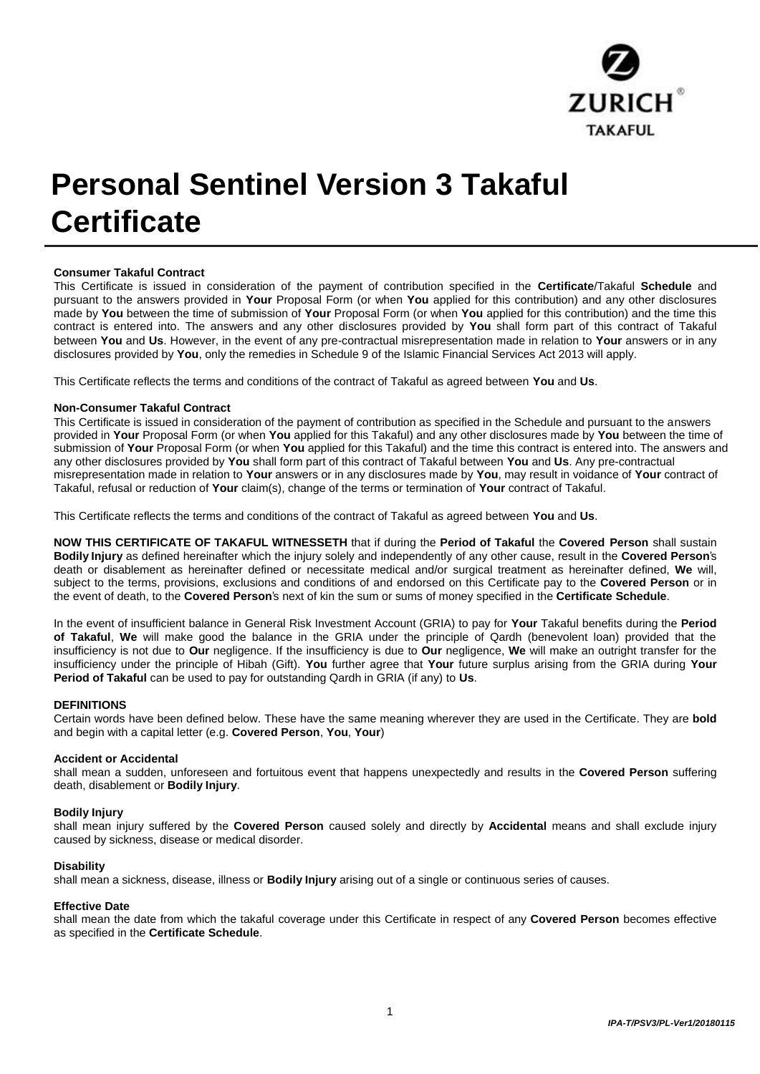

# **Personal Sentinel Version 3 Takaful Certificate**

# **Consumer Takaful Contract**

This Certificate is issued in consideration of the payment of contribution specified in the **Certificate**/Takaful **Schedule** and pursuant to the answers provided in **Your** Proposal Form (or when **You** applied for this contribution) and any other disclosures made by **You** between the time of submission of **Your** Proposal Form (or when **You** applied for this contribution) and the time this contract is entered into. The answers and any other disclosures provided by **You** shall form part of this contract of Takaful between **You** and **Us**. However, in the event of any pre-contractual misrepresentation made in relation to **Your** answers or in any disclosures provided by **You**, only the remedies in Schedule 9 of the Islamic Financial Services Act 2013 will apply.

This Certificate reflects the terms and conditions of the contract of Takaful as agreed between **You** and **Us**.

#### **Non-Consumer Takaful Contract**

This Certificate is issued in consideration of the payment of contribution as specified in the Schedule and pursuant to the answers provided in **Your** Proposal Form (or when **You** applied for this Takaful) and any other disclosures made by **You** between the time of submission of **Your** Proposal Form (or when **You** applied for this Takaful) and the time this contract is entered into. The answers and any other disclosures provided by **You** shall form part of this contract of Takaful between **You** and **Us**. Any pre-contractual misrepresentation made in relation to **Your** answers or in any disclosures made by **You**, may result in voidance of **Your** contract of Takaful, refusal or reduction of **Your** claim(s), change of the terms or termination of **Your** contract of Takaful.

This Certificate reflects the terms and conditions of the contract of Takaful as agreed between **You** and **Us**.

**NOW THIS CERTIFICATE OF TAKAFUL WITNESSETH** that if during the **Period of Takaful** the **Covered Person** shall sustain **Bodily Injury** as defined hereinafter which the injury solely and independently of any other cause, result in the **Covered Person**'s death or disablement as hereinafter defined or necessitate medical and/or surgical treatment as hereinafter defined, **We** will, subject to the terms, provisions, exclusions and conditions of and endorsed on this Certificate pay to the **Covered Person** or in the event of death, to the **Covered Person**'s next of kin the sum or sums of money specified in the **Certificate Schedule**.

In the event of insufficient balance in General Risk Investment Account (GRIA) to pay for **Your** Takaful benefits during the **Period of Takaful**, **We** will make good the balance in the GRIA under the principle of Qardh (benevolent loan) provided that the insufficiency is not due to **Our** negligence. If the insufficiency is due to **Our** negligence, **We** will make an outright transfer for the insufficiency under the principle of Hibah (Gift). **You** further agree that **Your** future surplus arising from the GRIA during **Your Period of Takaful** can be used to pay for outstanding Qardh in GRIA (if any) to **Us**.

#### **DEFINITIONS**

Certain words have been defined below. These have the same meaning wherever they are used in the Certificate. They are **bold**  and begin with a capital letter (e.g. **Covered Person**, **You**, **Your**)

#### **Accident or Accidental**

shall mean a sudden, unforeseen and fortuitous event that happens unexpectedly and results in the **Covered Person** suffering death, disablement or **Bodily Injury**.

#### **Bodily Injury**

shall mean injury suffered by the **Covered Person** caused solely and directly by **Accidental** means and shall exclude injury caused by sickness, disease or medical disorder.

#### **Disability**

shall mean a sickness, disease, illness or **Bodily Injury** arising out of a single or continuous series of causes.

#### **Effective Date**

shall mean the date from which the takaful coverage under this Certificate in respect of any **Covered Person** becomes effective as specified in the **Certificate Schedule**.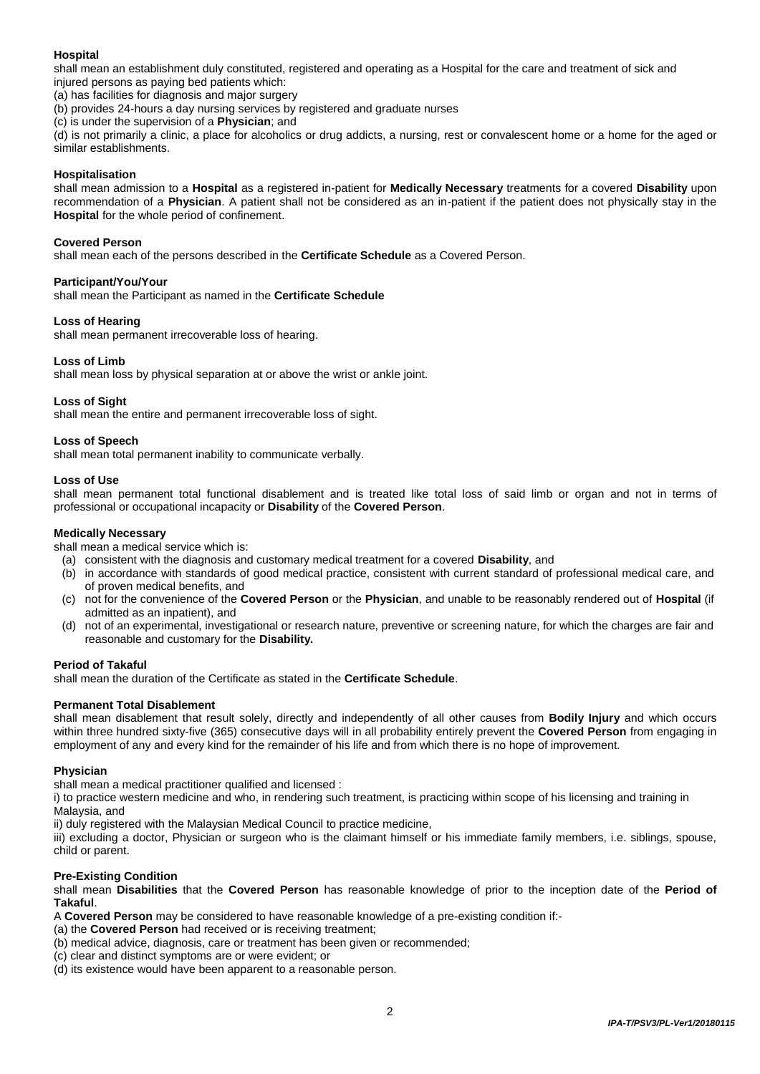# **Hospital**

shall mean an establishment duly constituted, registered and operating as a Hospital for the care and treatment of sick and injured persons as paying bed patients which:

(a) has facilities for diagnosis and major surgery

(b) provides 24-hours a day nursing services by registered and graduate nurses

(c) is under the supervision of a **Physician**; and

(d) is not primarily a clinic, a place for alcoholics or drug addicts, a nursing, rest or convalescent home or a home for the aged or similar establishments.

#### **Hospitalisation**

shall mean admission to a **Hospital** as a registered in-patient for **Medically Necessary** treatments for a covered **Disability** upon recommendation of a **Physician**. A patient shall not be considered as an in-patient if the patient does not physically stay in the **Hospital** for the whole period of confinement.

#### **Covered Person**

shall mean each of the persons described in the **Certificate Schedule** as a Covered Person.

# **Participant/You/Your**

shall mean the Participant as named in the **Certificate Schedule**

#### **Loss of Hearing**

shall mean permanent irrecoverable loss of hearing.

#### **Loss of Limb**

shall mean loss by physical separation at or above the wrist or ankle joint.

#### **Loss of Sight**

shall mean the entire and permanent irrecoverable loss of sight.

# **Loss of Speech**

shall mean total permanent inability to communicate verbally.

#### **Loss of Use**

shall mean permanent total functional disablement and is treated like total loss of said limb or organ and not in terms of professional or occupational incapacity or **Disability** of the **Covered Person**.

#### **Medically Necessary**

shall mean a medical service which is:

- (a) consistent with the diagnosis and customary medical treatment for a covered **Disability**, and
- (b) in accordance with standards of good medical practice, consistent with current standard of professional medical care, and of proven medical benefits, and
- (c) not for the convenience of the **Covered Person** or the **Physician**, and unable to be reasonably rendered out of **Hospital** (if admitted as an inpatient), and
- (d) not of an experimental, investigational or research nature, preventive or screening nature, for which the charges are fair and reasonable and customary for the **Disability.**

#### **Period of Takaful**

shall mean the duration of the Certificate as stated in the **Certificate Schedule**.

#### **Permanent Total Disablement**

shall mean disablement that result solely, directly and independently of all other causes from **Bodily Injury** and which occurs within three hundred sixty-five (365) consecutive days will in all probability entirely prevent the **Covered Person** from engaging in employment of any and every kind for the remainder of his life and from which there is no hope of improvement.

#### **Physician**

shall mean a medical practitioner qualified and licensed :

i) to practice western medicine and who, in rendering such treatment, is practicing within scope of his licensing and training in Malaysia, and

ii) duly registered with the Malaysian Medical Council to practice medicine,

iii) excluding a doctor, Physician or surgeon who is the claimant himself or his immediate family members, i.e. siblings, spouse, child or parent.

#### **Pre-Existing Condition**

shall mean **Disabilities** that the **Covered Person** has reasonable knowledge of prior to the inception date of the **Period of Takaful**.

A **Covered Person** may be considered to have reasonable knowledge of a pre-existing condition if:-

(a) the **Covered Person** had received or is receiving treatment;

(b) medical advice, diagnosis, care or treatment has been given or recommended;

- (c) clear and distinct symptoms are or were evident; or
- (d) its existence would have been apparent to a reasonable person.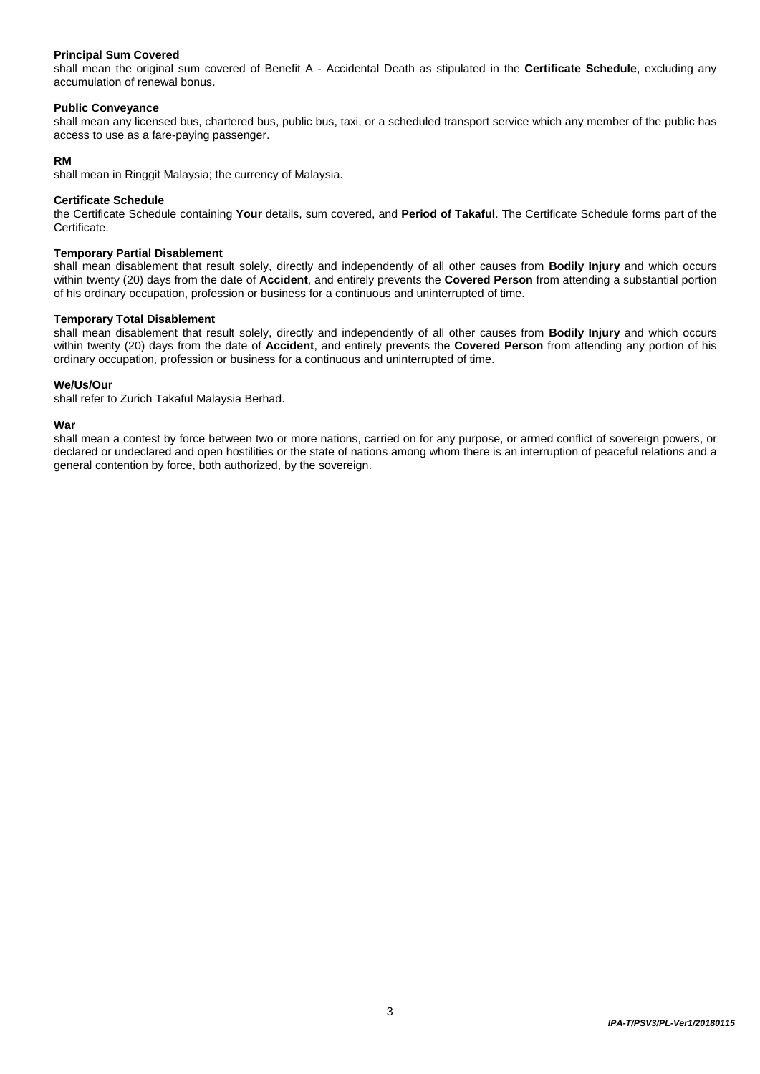### **Principal Sum Covered**

shall mean the original sum covered of Benefit A - Accidental Death as stipulated in the **Certificate Schedule**, excluding any accumulation of renewal bonus.

#### **Public Conveyance**

shall mean any licensed bus, chartered bus, public bus, taxi, or a scheduled transport service which any member of the public has access to use as a fare-paying passenger.

### **RM**

shall mean in Ringgit Malaysia; the currency of Malaysia.

#### **Certificate Schedule**

the Certificate Schedule containing **Your** details, sum covered, and **Period of Takaful**. The Certificate Schedule forms part of the Certificate.

#### **Temporary Partial Disablement**

shall mean disablement that result solely, directly and independently of all other causes from **Bodily Injury** and which occurs within twenty (20) days from the date of **Accident**, and entirely prevents the **Covered Person** from attending a substantial portion of his ordinary occupation, profession or business for a continuous and uninterrupted of time.

#### **Temporary Total Disablement**

shall mean disablement that result solely, directly and independently of all other causes from **Bodily Injury** and which occurs within twenty (20) days from the date of **Accident**, and entirely prevents the **Covered Person** from attending any portion of his ordinary occupation, profession or business for a continuous and uninterrupted of time.

# **We/Us/Our**

shall refer to Zurich Takaful Malaysia Berhad.

#### **War**

shall mean a contest by force between two or more nations, carried on for any purpose, or armed conflict of sovereign powers, or declared or undeclared and open hostilities or the state of nations among whom there is an interruption of peaceful relations and a general contention by force, both authorized, by the sovereign.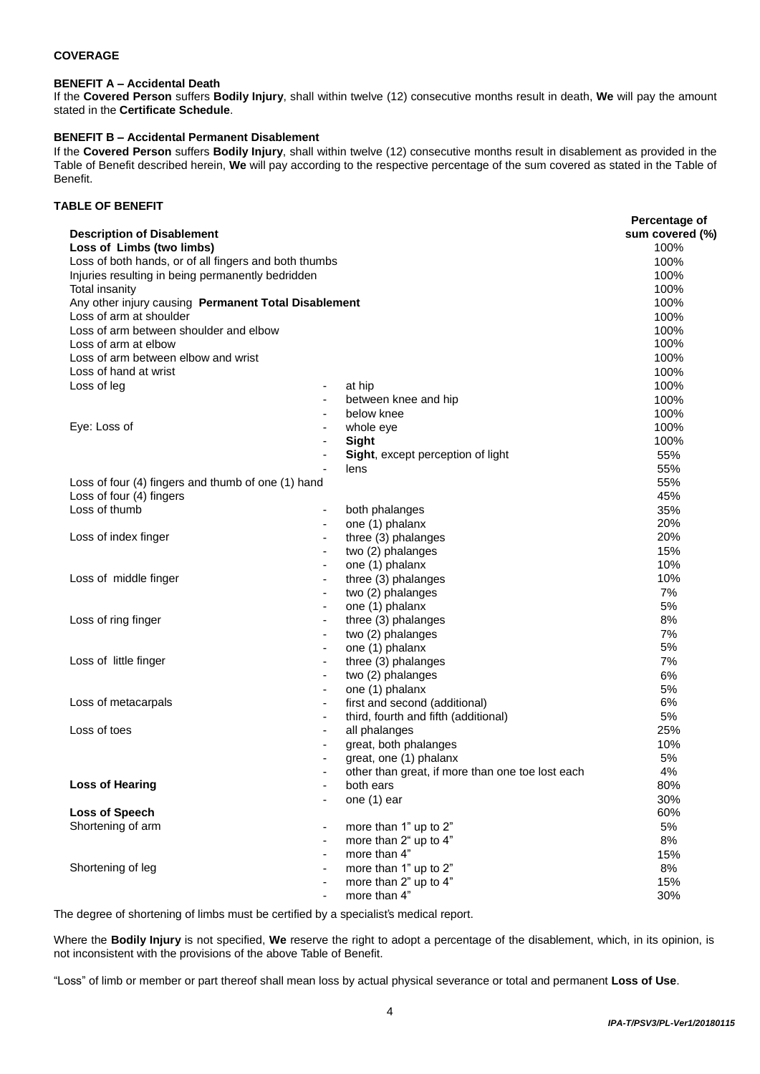# **COVERAGE**

# **BENEFIT A – Accidental Death**

If the **Covered Person** suffers **Bodily Injury**, shall within twelve (12) consecutive months result in death, **We** will pay the amount stated in the **Certificate Schedule**.

# **BENEFIT B – Accidental Permanent Disablement**

If the **Covered Person** suffers **Bodily Injury**, shall within twelve (12) consecutive months result in disablement as provided in the Table of Benefit described herein, **We** will pay according to the respective percentage of the sum covered as stated in the Table of Benefit.

# **TABLE OF BENEFIT**

| <b>Description of Disablement</b>                     |                          |                                                  | Percentage of<br>sum covered (%) |
|-------------------------------------------------------|--------------------------|--------------------------------------------------|----------------------------------|
| Loss of Limbs (two limbs)                             |                          |                                                  | 100%                             |
| Loss of both hands, or of all fingers and both thumbs | 100%                     |                                                  |                                  |
| Injuries resulting in being permanently bedridden     | 100%                     |                                                  |                                  |
| <b>Total insanity</b>                                 | 100%                     |                                                  |                                  |
| Any other injury causing Permanent Total Disablement  | 100%                     |                                                  |                                  |
| Loss of arm at shoulder                               | 100%                     |                                                  |                                  |
| Loss of arm between shoulder and elbow                |                          |                                                  | 100%                             |
| Loss of arm at elbow                                  |                          |                                                  | 100%                             |
| Loss of arm between elbow and wrist                   |                          |                                                  | 100%                             |
| Loss of hand at wrist                                 |                          |                                                  | 100%                             |
| Loss of leg                                           | ٠                        | at hip                                           | 100%                             |
|                                                       |                          | between knee and hip                             | 100%                             |
|                                                       |                          | below knee                                       | 100%                             |
| Eye: Loss of                                          |                          | whole eye                                        | 100%                             |
|                                                       |                          | Sight                                            | 100%                             |
|                                                       |                          | Sight, except perception of light                | 55%                              |
|                                                       |                          | lens                                             | 55%                              |
| Loss of four (4) fingers and thumb of one (1) hand    |                          |                                                  | 55%                              |
| Loss of four (4) fingers                              |                          |                                                  | 45%                              |
| Loss of thumb                                         | $\overline{\phantom{a}}$ | both phalanges                                   | 35%                              |
|                                                       |                          | one (1) phalanx                                  | 20%                              |
| Loss of index finger                                  |                          | three (3) phalanges                              | 20%                              |
|                                                       |                          | two (2) phalanges                                | 15%                              |
|                                                       | $\overline{\phantom{a}}$ | one (1) phalanx                                  | 10%                              |
| Loss of middle finger                                 |                          | three (3) phalanges                              | 10%                              |
|                                                       |                          | two (2) phalanges                                | 7%                               |
|                                                       |                          | one (1) phalanx                                  | 5%                               |
| Loss of ring finger                                   |                          | three (3) phalanges                              | 8%                               |
|                                                       | $\blacksquare$           | two (2) phalanges                                | 7%                               |
|                                                       |                          | one (1) phalanx                                  | 5%                               |
| Loss of little finger                                 |                          | three (3) phalanges                              | 7%                               |
|                                                       |                          | two (2) phalanges                                | 6%                               |
|                                                       |                          | one (1) phalanx                                  | 5%                               |
| Loss of metacarpals<br>Loss of toes                   | $\overline{\phantom{a}}$ | first and second (additional)                    | 6%                               |
|                                                       |                          | third, fourth and fifth (additional)             | 5%                               |
|                                                       |                          |                                                  | 25%                              |
|                                                       |                          | all phalanges                                    |                                  |
|                                                       |                          | great, both phalanges                            | 10%                              |
|                                                       |                          | great, one (1) phalanx                           | 5%                               |
|                                                       |                          | other than great, if more than one toe lost each | 4%                               |
| <b>Loss of Hearing</b>                                |                          | both ears                                        | 80%                              |
|                                                       |                          | one (1) ear                                      | 30%                              |
| Loss of Speech                                        |                          |                                                  | 60%                              |
| Shortening of arm<br>Shortening of leg                |                          | more than 1" up to 2"                            | $5\%$                            |
|                                                       | $\blacksquare$           | more than 2" up to 4"                            | $8%$                             |
|                                                       |                          | more than 4"                                     | 15%                              |
|                                                       |                          | more than 1" up to 2"                            | $8\%$                            |
|                                                       |                          | more than 2" up to 4"                            | 15%                              |
|                                                       |                          | more than 4"                                     | 30%                              |

The degree of shortening of limbs must be certified by a specialist's medical report.

Where the **Bodily Injury** is not specified, **We** reserve the right to adopt a percentage of the disablement, which, in its opinion, is not inconsistent with the provisions of the above Table of Benefit.

"Loss" of limb or member or part thereof shall mean loss by actual physical severance or total and permanent **Loss of Use**.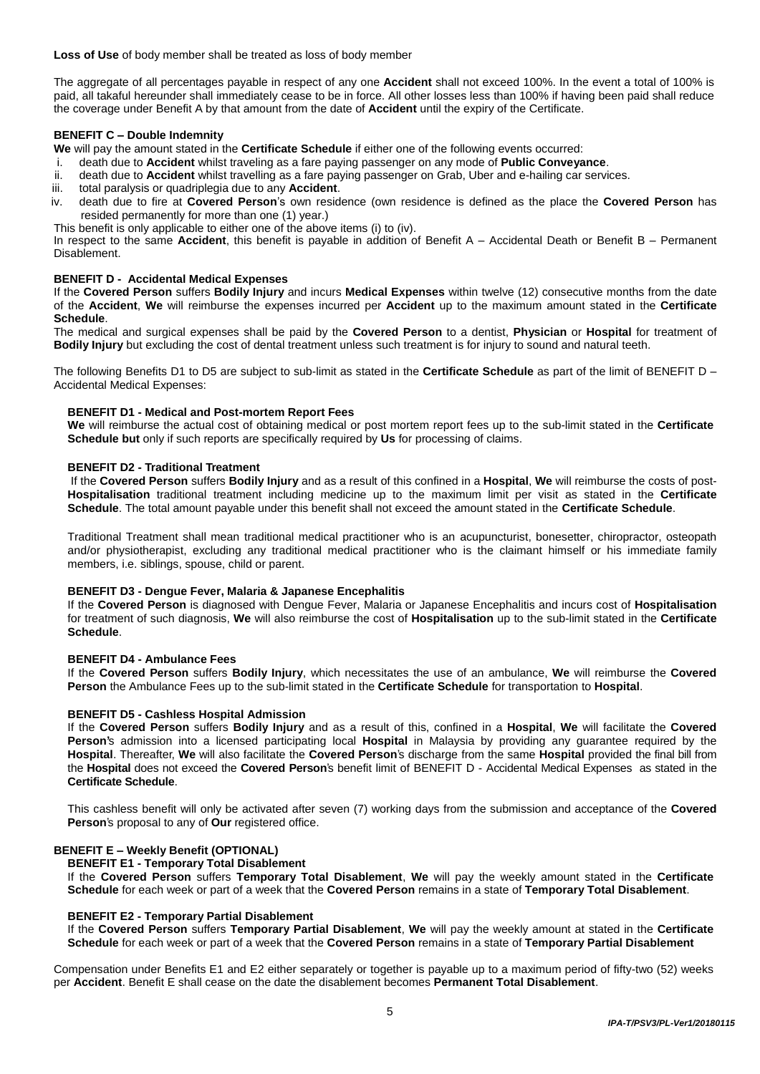**Loss of Use** of body member shall be treated as loss of body member

The aggregate of all percentages payable in respect of any one **Accident** shall not exceed 100%. In the event a total of 100% is paid, all takaful hereunder shall immediately cease to be in force. All other losses less than 100% if having been paid shall reduce the coverage under Benefit A by that amount from the date of **Accident** until the expiry of the Certificate.

#### **BENEFIT C – Double Indemnity**

**We** will pay the amount stated in the **Certificate Schedule** if either one of the following events occurred:<br>i. death due to **Accident** whilst traveling as a fare paying passenger on any mode of **Public Conveva** 

- i. death due to **Accident** whilst traveling as a fare paying passenger on any mode of **Public Conveyance**.
- death due to **Accident** whilst travelling as a fare paying passenger on Grab, Uber and e-hailing car services.
- iii. total paralysis or quadriplegia due to any **Accident**.
- iv. death due to fire at **Covered Person**'s own residence (own residence is defined as the place the **Covered Person** has resided permanently for more than one (1) year.)
- This benefit is only applicable to either one of the above items (i) to (iv).

In respect to the same **Accident**, this benefit is payable in addition of Benefit A – Accidental Death or Benefit B – Permanent Disablement.

#### **BENEFIT D - Accidental Medical Expenses**

If the **Covered Person** suffers **Bodily Injury** and incurs **Medical Expenses** within twelve (12) consecutive months from the date of the **Accident**, **We** will reimburse the expenses incurred per **Accident** up to the maximum amount stated in the **Certificate Schedule**.

The medical and surgical expenses shall be paid by the **Covered Person** to a dentist, **Physician** or **Hospital** for treatment of **Bodily Injury** but excluding the cost of dental treatment unless such treatment is for injury to sound and natural teeth.

The following Benefits D1 to D5 are subject to sub-limit as stated in the **Certificate Schedule** as part of the limit of BENEFIT D – Accidental Medical Expenses:

#### **BENEFIT D1 - Medical and Post-mortem Report Fees**

**We** will reimburse the actual cost of obtaining medical or post mortem report fees up to the sub-limit stated in the **Certificate Schedule but** only if such reports are specifically required by **Us** for processing of claims.

#### **BENEFIT D2 - Traditional Treatment**

If the **Covered Person** suffers **Bodily Injury** and as a result of this confined in a **Hospital**, **We** will reimburse the costs of post-**Hospitalisation** traditional treatment including medicine up to the maximum limit per visit as stated in the **Certificate Schedule**. The total amount payable under this benefit shall not exceed the amount stated in the **Certificate Schedule**.

Traditional Treatment shall mean traditional medical practitioner who is an acupuncturist, bonesetter, chiropractor, osteopath and/or physiotherapist, excluding any traditional medical practitioner who is the claimant himself or his immediate family members, i.e. siblings, spouse, child or parent.

## **BENEFIT D3 - Dengue Fever, Malaria & Japanese Encephalitis**

If the **Covered Person** is diagnosed with Dengue Fever, Malaria or Japanese Encephalitis and incurs cost of **Hospitalisation** for treatment of such diagnosis, **We** will also reimburse the cost of **Hospitalisation** up to the sub-limit stated in the **Certificate Schedule**.

#### **BENEFIT D4 - Ambulance Fees**

If the **Covered Person** suffers **Bodily Injury**, which necessitates the use of an ambulance, **We** will reimburse the **Covered Person** the Ambulance Fees up to the sub-limit stated in the **Certificate Schedule** for transportation to **Hospital**.

#### **BENEFIT D5 - Cashless Hospital Admission**

If the **Covered Person** suffers **Bodily Injury** and as a result of this, confined in a **Hospital**, **We** will facilitate the **Covered Person'**s admission into a licensed participating local **Hospital** in Malaysia by providing any guarantee required by the **Hospital**. Thereafter, **We** will also facilitate the **Covered Person**'s discharge from the same **Hospital** provided the final bill from the **Hospital** does not exceed the **Covered Person**'s benefit limit of BENEFIT D - Accidental Medical Expenses as stated in the **Certificate Schedule**.

This cashless benefit will only be activated after seven (7) working days from the submission and acceptance of the **Covered Person**'s proposal to any of **Our** registered office.

# **BENEFIT E – Weekly Benefit (OPTIONAL)**

**BENEFIT E1 - Temporary Total Disablement**

If the **Covered Person** suffers **Temporary Total Disablement**, **We** will pay the weekly amount stated in the **Certificate Schedule** for each week or part of a week that the **Covered Person** remains in a state of **Temporary Total Disablement**.

#### **BENEFIT E2 - Temporary Partial Disablement**

If the **Covered Person** suffers **Temporary Partial Disablement**, **We** will pay the weekly amount at stated in the **Certificate Schedule** for each week or part of a week that the **Covered Person** remains in a state of **Temporary Partial Disablement**

Compensation under Benefits E1 and E2 either separately or together is payable up to a maximum period of fifty-two (52) weeks per **Accident**. Benefit E shall cease on the date the disablement becomes **Permanent Total Disablement**.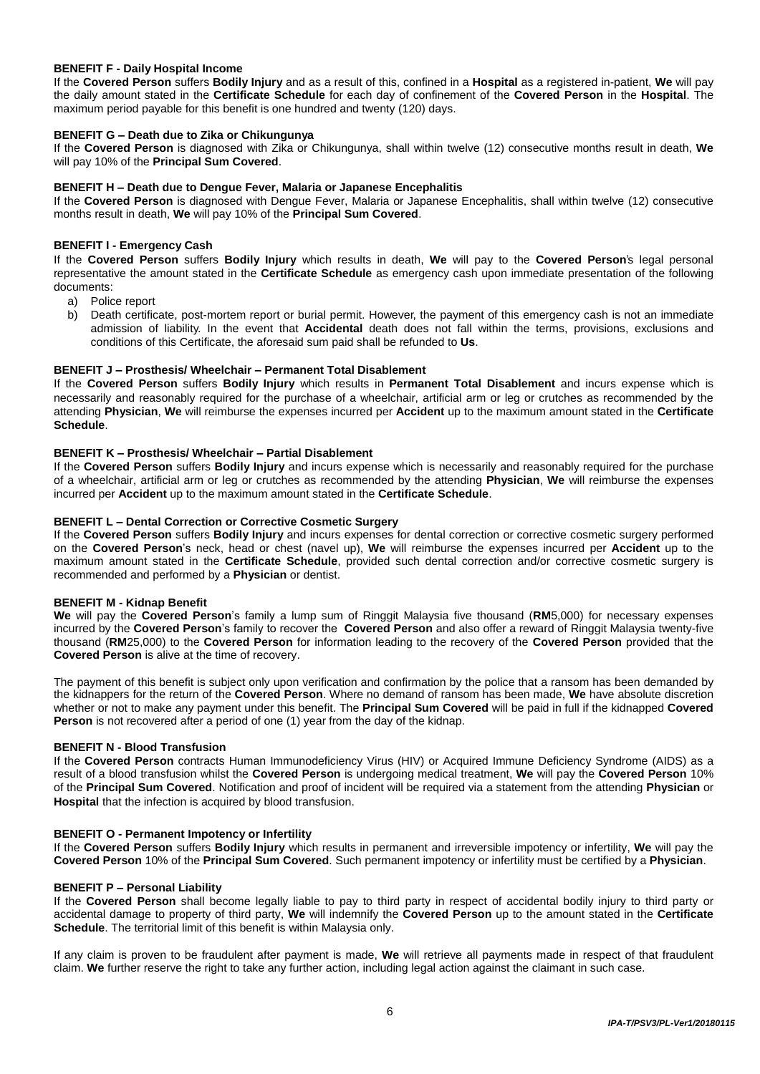# **BENEFIT F - Daily Hospital Income**

If the **Covered Person** suffers **Bodily Injury** and as a result of this, confined in a **Hospital** as a registered in-patient, **We** will pay the daily amount stated in the **Certificate Schedule** for each day of confinement of the **Covered Person** in the **Hospital**. The maximum period payable for this benefit is one hundred and twenty (120) days.

#### **BENEFIT G – Death due to Zika or Chikungunya**

If the **Covered Person** is diagnosed with Zika or Chikungunya, shall within twelve (12) consecutive months result in death, **We**  will pay 10% of the **Principal Sum Covered**.

## **BENEFIT H – Death due to Dengue Fever, Malaria or Japanese Encephalitis**

If the **Covered Person** is diagnosed with Dengue Fever, Malaria or Japanese Encephalitis, shall within twelve (12) consecutive months result in death, **We** will pay 10% of the **Principal Sum Covered**.

### **BENEFIT I - Emergency Cash**

If the **Covered Person** suffers **Bodily Injury** which results in death, **We** will pay to the **Covered Person**'s legal personal representative the amount stated in the **Certificate Schedule** as emergency cash upon immediate presentation of the following documents:

- a) Police report
- b) Death certificate, post-mortem report or burial permit. However, the payment of this emergency cash is not an immediate admission of liability. In the event that **Accidental** death does not fall within the terms, provisions, exclusions and conditions of this Certificate, the aforesaid sum paid shall be refunded to **Us**.

# **BENEFIT J – Prosthesis/ Wheelchair – Permanent Total Disablement**

If the **Covered Person** suffers **Bodily Injury** which results in **Permanent Total Disablement** and incurs expense which is necessarily and reasonably required for the purchase of a wheelchair, artificial arm or leg or crutches as recommended by the attending **Physician**, **We** will reimburse the expenses incurred per **Accident** up to the maximum amount stated in the **Certificate Schedule**.

# **BENEFIT K – Prosthesis/ Wheelchair – Partial Disablement**

If the **Covered Person** suffers **Bodily Injury** and incurs expense which is necessarily and reasonably required for the purchase of a wheelchair, artificial arm or leg or crutches as recommended by the attending **Physician**, **We** will reimburse the expenses incurred per **Accident** up to the maximum amount stated in the **Certificate Schedule**.

# **BENEFIT L – Dental Correction or Corrective Cosmetic Surgery**

If the **Covered Person** suffers **Bodily Injury** and incurs expenses for dental correction or corrective cosmetic surgery performed on the **Covered Person**'s neck, head or chest (navel up), **We** will reimburse the expenses incurred per **Accident** up to the maximum amount stated in the **Certificate Schedule**, provided such dental correction and/or corrective cosmetic surgery is recommended and performed by a **Physician** or dentist.

#### **BENEFIT M - Kidnap Benefit**

**We** will pay the **Covered Person**'s family a lump sum of Ringgit Malaysia five thousand (**RM**5,000) for necessary expenses incurred by the **Covered Person**'s family to recover the **Covered Person** and also offer a reward of Ringgit Malaysia twenty-five thousand (**RM**25,000) to the **Covered Person** for information leading to the recovery of the **Covered Person** provided that the **Covered Person** is alive at the time of recovery.

The payment of this benefit is subject only upon verification and confirmation by the police that a ransom has been demanded by the kidnappers for the return of the **Covered Person**. Where no demand of ransom has been made, **We** have absolute discretion whether or not to make any payment under this benefit. The **Principal Sum Covered** will be paid in full if the kidnapped **Covered Person** is not recovered after a period of one (1) year from the day of the kidnap.

#### **BENEFIT N - Blood Transfusion**

If the **Covered Person** contracts Human Immunodeficiency Virus (HIV) or Acquired Immune Deficiency Syndrome (AIDS) as a result of a blood transfusion whilst the **Covered Person** is undergoing medical treatment, **We** will pay the **Covered Person** 10% of the **Principal Sum Covered**. Notification and proof of incident will be required via a statement from the attending **Physician** or **Hospital** that the infection is acquired by blood transfusion.

#### **BENEFIT O - Permanent Impotency or Infertility**

If the **Covered Person** suffers **Bodily Injury** which results in permanent and irreversible impotency or infertility, **We** will pay the **Covered Person** 10% of the **Principal Sum Covered**. Such permanent impotency or infertility must be certified by a **Physician**.

#### **BENEFIT P – Personal Liability**

If the **Covered Person** shall become legally liable to pay to third party in respect of accidental bodily injury to third party or accidental damage to property of third party, **We** will indemnify the **Covered Person** up to the amount stated in the **Certificate Schedule**. The territorial limit of this benefit is within Malaysia only.

If any claim is proven to be fraudulent after payment is made, **We** will retrieve all payments made in respect of that fraudulent claim. **We** further reserve the right to take any further action, including legal action against the claimant in such case.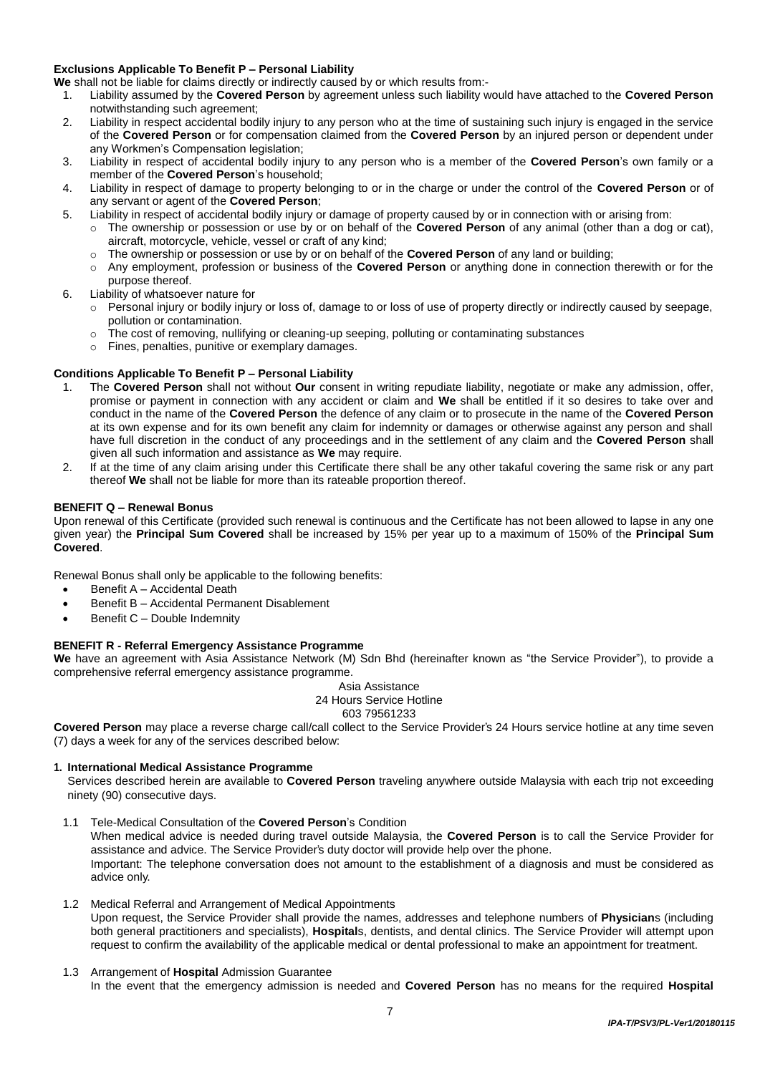# **Exclusions Applicable To Benefit P – Personal Liability**

**We** shall not be liable for claims directly or indirectly caused by or which results from:-

- 1. Liability assumed by the **Covered Person** by agreement unless such liability would have attached to the **Covered Person** notwithstanding such agreement;
- 2. Liability in respect accidental bodily injury to any person who at the time of sustaining such injury is engaged in the service of the **Covered Person** or for compensation claimed from the **Covered Person** by an injured person or dependent under any Workmen's Compensation legislation;
- 3. Liability in respect of accidental bodily injury to any person who is a member of the **Covered Person**'s own family or a member of the **Covered Person**'s household;
- 4. Liability in respect of damage to property belonging to or in the charge or under the control of the **Covered Person** or of any servant or agent of the **Covered Person**;
- 5. Liability in respect of accidental bodily injury or damage of property caused by or in connection with or arising from:
	- o The ownership or possession or use by or on behalf of the **Covered Person** of any animal (other than a dog or cat), aircraft, motorcycle, vehicle, vessel or craft of any kind;
	- o The ownership or possession or use by or on behalf of the **Covered Person** of any land or building;
	- o Any employment, profession or business of the **Covered Person** or anything done in connection therewith or for the purpose thereof.
- 6. Liability of whatsoever nature for
	- o Personal injury or bodily injury or loss of, damage to or loss of use of property directly or indirectly caused by seepage, pollution or contamination.
	- o The cost of removing, nullifying or cleaning-up seeping, polluting or contaminating substances
	- o Fines, penalties, punitive or exemplary damages.

# **Conditions Applicable To Benefit P – Personal Liability**

- 1. The **Covered Person** shall not without **Our** consent in writing repudiate liability, negotiate or make any admission, offer, promise or payment in connection with any accident or claim and **We** shall be entitled if it so desires to take over and conduct in the name of the **Covered Person** the defence of any claim or to prosecute in the name of the **Covered Person** at its own expense and for its own benefit any claim for indemnity or damages or otherwise against any person and shall have full discretion in the conduct of any proceedings and in the settlement of any claim and the **Covered Person** shall given all such information and assistance as **We** may require.
- 2. If at the time of any claim arising under this Certificate there shall be any other takaful covering the same risk or any part thereof **We** shall not be liable for more than its rateable proportion thereof.

# **BENEFIT Q – Renewal Bonus**

Upon renewal of this Certificate (provided such renewal is continuous and the Certificate has not been allowed to lapse in any one given year) the **Principal Sum Covered** shall be increased by 15% per year up to a maximum of 150% of the **Principal Sum Covered**.

Renewal Bonus shall only be applicable to the following benefits:

- Benefit A Accidental Death
- Benefit B Accidental Permanent Disablement
- Benefit C Double Indemnity

# **BENEFIT R - Referral Emergency Assistance Programme**

**We** have an agreement with Asia Assistance Network (M) Sdn Bhd (hereinafter known as "the Service Provider"), to provide a comprehensive referral emergency assistance programme.

Asia Assistance

24 Hours Service Hotline

603 79561233

**Covered Person** may place a reverse charge call/call collect to the Service Provider's 24 Hours service hotline at any time seven (7) days a week for any of the services described below:

# **1. International Medical Assistance Programme**

Services described herein are available to **Covered Person** traveling anywhere outside Malaysia with each trip not exceeding ninety (90) consecutive days.

1.1 Tele-Medical Consultation of the **Covered Person**'s Condition

When medical advice is needed during travel outside Malaysia, the **Covered Person** is to call the Service Provider for assistance and advice. The Service Provider's duty doctor will provide help over the phone. Important: The telephone conversation does not amount to the establishment of a diagnosis and must be considered as advice only.

- 1.2 Medical Referral and Arrangement of Medical Appointments Upon request, the Service Provider shall provide the names, addresses and telephone numbers of **Physician**s (including both general practitioners and specialists), **Hospital**s, dentists, and dental clinics. The Service Provider will attempt upon request to confirm the availability of the applicable medical or dental professional to make an appointment for treatment.
- 1.3 Arrangement of **Hospital** Admission Guarantee In the event that the emergency admission is needed and **Covered Person** has no means for the required **Hospital**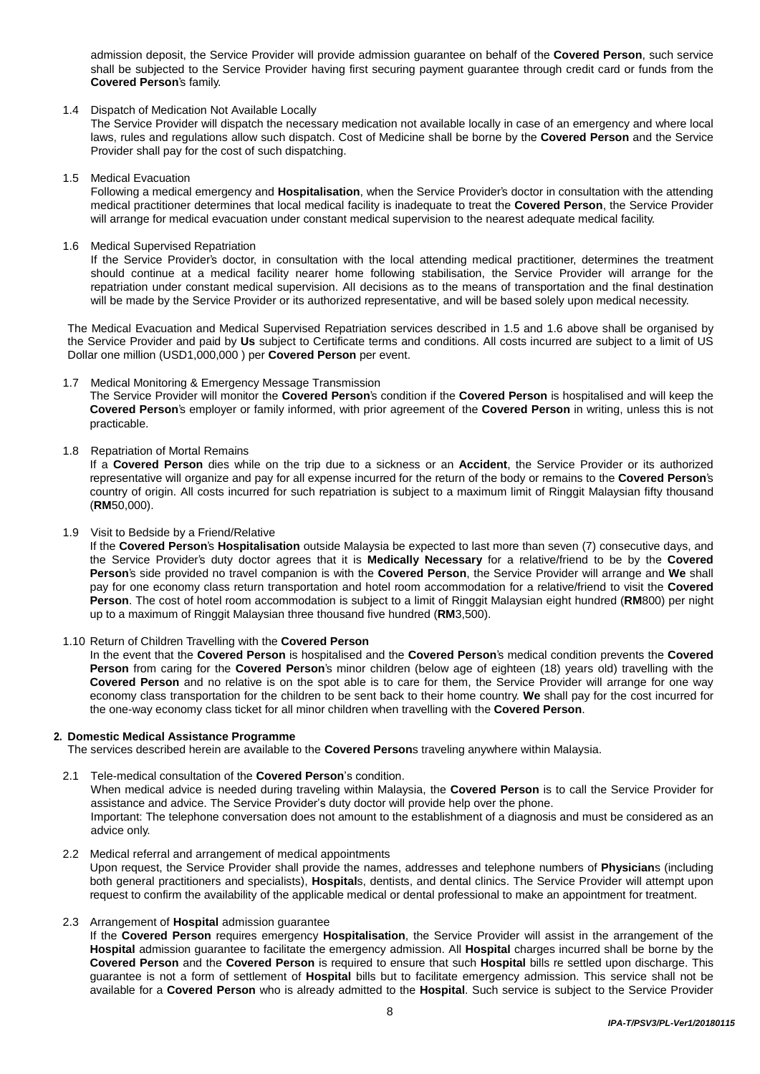admission deposit, the Service Provider will provide admission guarantee on behalf of the **Covered Person**, such service shall be subjected to the Service Provider having first securing payment guarantee through credit card or funds from the **Covered Person**'s family.

#### 1.4 Dispatch of Medication Not Available Locally

The Service Provider will dispatch the necessary medication not available locally in case of an emergency and where local laws, rules and regulations allow such dispatch. Cost of Medicine shall be borne by the **Covered Person** and the Service Provider shall pay for the cost of such dispatching.

1.5 Medical Evacuation

Following a medical emergency and **Hospitalisation**, when the Service Provider's doctor in consultation with the attending medical practitioner determines that local medical facility is inadequate to treat the **Covered Person**, the Service Provider will arrange for medical evacuation under constant medical supervision to the nearest adequate medical facility.

1.6 Medical Supervised Repatriation

If the Service Provider's doctor, in consultation with the local attending medical practitioner, determines the treatment should continue at a medical facility nearer home following stabilisation, the Service Provider will arrange for the repatriation under constant medical supervision. AlI decisions as to the means of transportation and the final destination will be made by the Service Provider or its authorized representative, and will be based solely upon medical necessity.

The Medical Evacuation and Medical Supervised Repatriation services described in 1.5 and 1.6 above shall be organised by the Service Provider and paid by **Us** subject to Certificate terms and conditions. All costs incurred are subject to a limit of US Dollar one million (USD1,000,000 ) per **Covered Person** per event.

# 1.7 Medical Monitoring & Emergency Message Transmission

The Service Provider will monitor the **Covered Person**'s condition if the **Covered Person** is hospitalised and will keep the **Covered Person**'s employer or family informed, with prior agreement of the **Covered Person** in writing, unless this is not practicable.

# 1.8 Repatriation of Mortal Remains

If a **Covered Person** dies while on the trip due to a sickness or an **Accident**, the Service Provider or its authorized representative will organize and pay for all expense incurred for the return of the body or remains to the **Covered Person**'s country of origin. All costs incurred for such repatriation is subject to a maximum limit of Ringgit Malaysian fifty thousand (**RM**50,000).

1.9 Visit to Bedside by a Friend/Relative

If the **Covered Person**'s **Hospitalisation** outside Malaysia be expected to last more than seven (7) consecutive days, and the Service Provider's duty doctor agrees that it is **Medically Necessary** for a relative/friend to be by the **Covered Person**'s side provided no travel companion is with the **Covered Person**, the Service Provider will arrange and **We** shall pay for one economy class return transportation and hotel room accommodation for a relative/friend to visit the **Covered Person**. The cost of hotel room accommodation is subject to a limit of Ringgit Malaysian eight hundred (**RM**800) per night up to a maximum of Ringgit Malaysian three thousand five hundred (**RM**3,500).

# 1.10 Return of Children Travelling with the **Covered Person**

In the event that the **Covered Person** is hospitalised and the **Covered Person**'s medical condition prevents the **Covered Person** from caring for the **Covered Person**'s minor children (below age of eighteen (18) years old) travelling with the **Covered Person** and no relative is on the spot able is to care for them, the Service Provider will arrange for one way economy class transportation for the children to be sent back to their home country. **We** shall pay for the cost incurred for the one-way economy class ticket for all minor children when travelling with the **Covered Person**.

#### **2. Domestic Medical Assistance Programme**

The services described herein are available to the **Covered Person**s traveling anywhere within Malaysia.

#### 2.1 Tele-medical consultation of the **Covered Person**'s condition.

When medical advice is needed during traveling within Malaysia, the **Covered Person** is to call the Service Provider for assistance and advice. The Service Provider's duty doctor will provide help over the phone. Important: The telephone conversation does not amount to the establishment of a diagnosis and must be considered as an

advice only.

- 2.2 Medical referral and arrangement of medical appointments Upon request, the Service Provider shall provide the names, addresses and telephone numbers of **Physician**s (including both general practitioners and specialists), **Hospital**s, dentists, and dental clinics. The Service Provider will attempt upon request to confirm the availability of the applicable medical or dental professional to make an appointment for treatment.
- 2.3 Arrangement of **Hospital** admission guarantee

If the **Covered Person** requires emergency **Hospitalisation**, the Service Provider will assist in the arrangement of the **Hospital** admission guarantee to facilitate the emergency admission. All **Hospital** charges incurred shall be borne by the **Covered Person** and the **Covered Person** is required to ensure that such **Hospital** bills re settled upon discharge. This guarantee is not a form of settlement of **Hospital** bills but to facilitate emergency admission. This service shall not be available for a **Covered Person** who is already admitted to the **Hospital**. Such service is subject to the Service Provider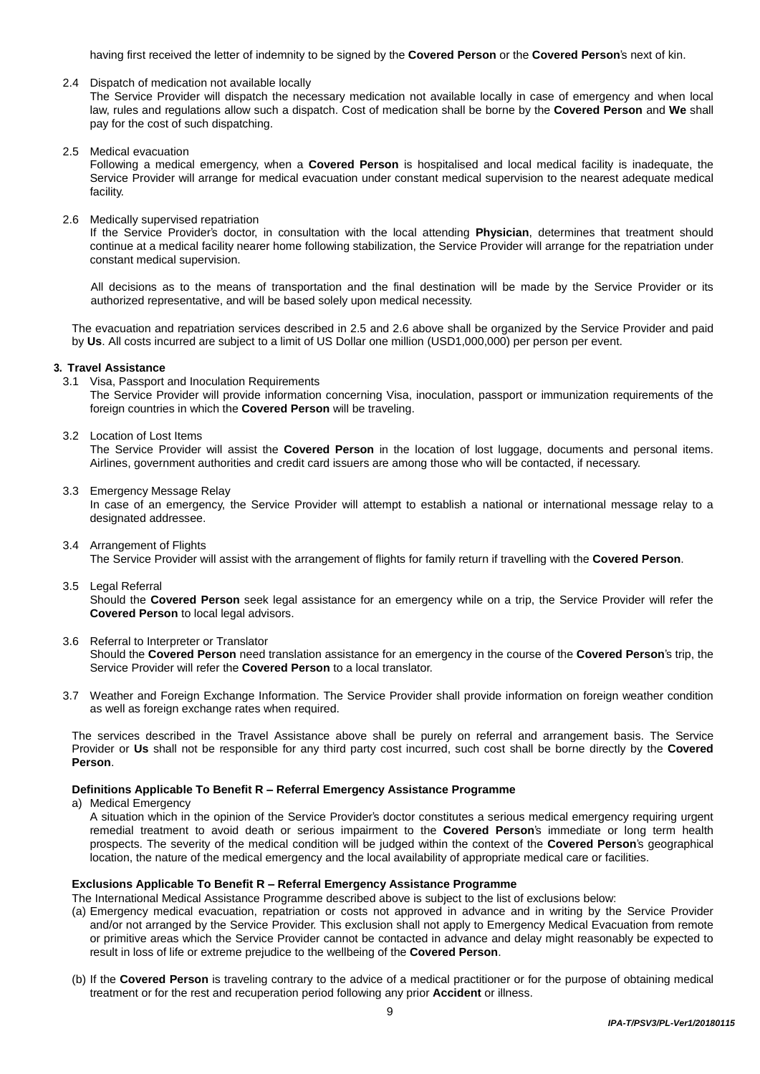having first received the letter of indemnity to be signed by the **Covered Person** or the **Covered Person**'s next of kin.

2.4 Dispatch of medication not available locally

The Service Provider will dispatch the necessary medication not available locally in case of emergency and when local law, rules and regulations allow such a dispatch. Cost of medication shall be borne by the **Covered Person** and **We** shall pay for the cost of such dispatching.

2.5 Medical evacuation

Following a medical emergency, when a **Covered Person** is hospitalised and local medical facility is inadequate, the Service Provider will arrange for medical evacuation under constant medical supervision to the nearest adequate medical facility.

2.6 Medically supervised repatriation

If the Service Provider's doctor, in consultation with the local attending **Physician**, determines that treatment should continue at a medical facility nearer home following stabilization, the Service Provider will arrange for the repatriation under constant medical supervision.

All decisions as to the means of transportation and the final destination will be made by the Service Provider or its authorized representative, and will be based solely upon medical necessity.

The evacuation and repatriation services described in 2.5 and 2.6 above shall be organized by the Service Provider and paid by **Us**. All costs incurred are subject to a limit of US Dollar one million (USD1,000,000) per person per event.

#### **3. Travel Assistance**

3.1 Visa, Passport and Inoculation Requirements

The Service Provider will provide information concerning Visa, inoculation, passport or immunization requirements of the foreign countries in which the **Covered Person** will be traveling.

3.2 Location of Lost Items

The Service Provider will assist the **Covered Person** in the location of lost luggage, documents and personal items. Airlines, government authorities and credit card issuers are among those who will be contacted, if necessary.

3.3 Emergency Message Relay

In case of an emergency, the Service Provider will attempt to establish a national or international message relay to a designated addressee.

- 3.4 Arrangement of Flights The Service Provider will assist with the arrangement of flights for family return if travelling with the **Covered Person**.
- 3.5 Legal Referral

Should the **Covered Person** seek legal assistance for an emergency while on a trip, the Service Provider will refer the **Covered Person** to local legal advisors.

3.6 Referral to Interpreter or Translator

Should the **Covered Person** need translation assistance for an emergency in the course of the **Covered Person**'s trip, the Service Provider will refer the **Covered Person** to a local translator.

3.7 Weather and Foreign Exchange Information. The Service Provider shall provide information on foreign weather condition as well as foreign exchange rates when required.

The services described in the Travel Assistance above shall be purely on referral and arrangement basis. The Service Provider or **Us** shall not be responsible for any third party cost incurred, such cost shall be borne directly by the **Covered Person**.

#### **Definitions Applicable To Benefit R – Referral Emergency Assistance Programme**

a) Medical Emergency

A situation which in the opinion of the Service Provider's doctor constitutes a serious medical emergency requiring urgent remedial treatment to avoid death or serious impairment to the **Covered Person**'s immediate or long term health prospects. The severity of the medical condition will be judged within the context of the **Covered Person**'s geographical location, the nature of the medical emergency and the local availability of appropriate medical care or facilities.

# **Exclusions Applicable To Benefit R – Referral Emergency Assistance Programme**

The International Medical Assistance Programme described above is subject to the list of exclusions below:

- (a) Emergency medical evacuation, repatriation or costs not approved in advance and in writing by the Service Provider and/or not arranged by the Service Provider. This exclusion shall not apply to Emergency Medical Evacuation from remote or primitive areas which the Service Provider cannot be contacted in advance and delay might reasonably be expected to result in loss of life or extreme prejudice to the wellbeing of the **Covered Person**.
- (b) If the **Covered Person** is traveling contrary to the advice of a medical practitioner or for the purpose of obtaining medical treatment or for the rest and recuperation period following any prior **Accident** or illness.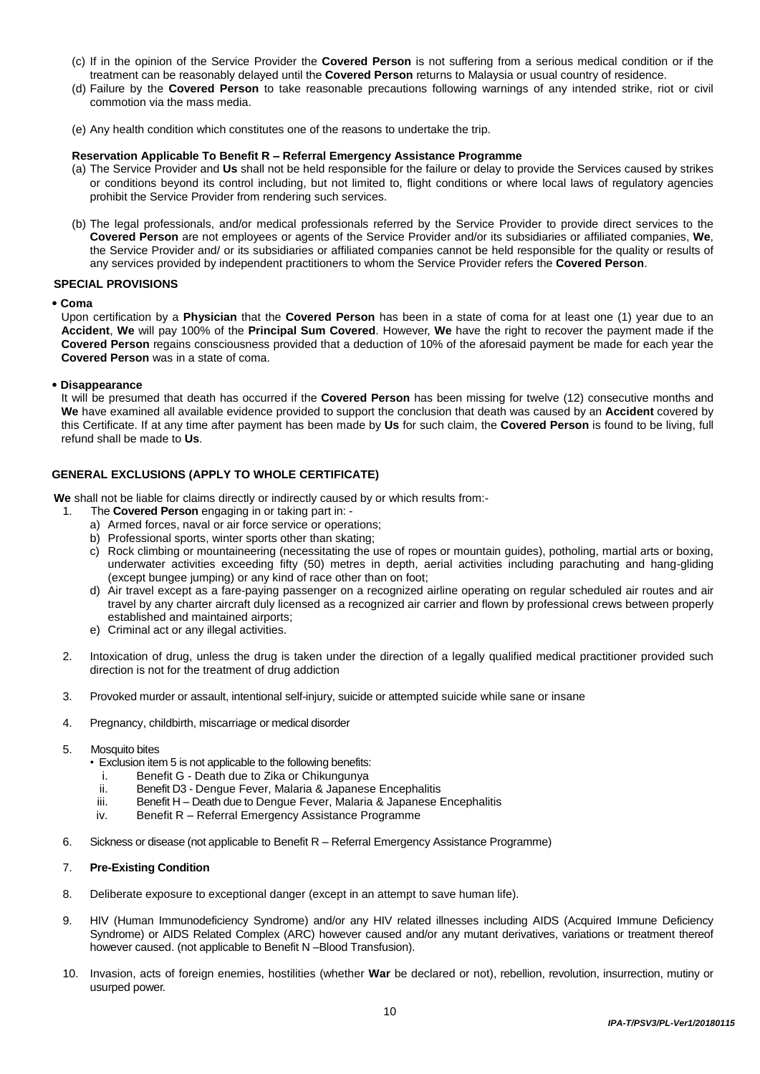- (c) If in the opinion of the Service Provider the **Covered Person** is not suffering from a serious medical condition or if the treatment can be reasonably delayed until the **Covered Person** returns to Malaysia or usual country of residence.
- (d) Failure by the **Covered Person** to take reasonable precautions following warnings of any intended strike, riot or civil commotion via the mass media.
- (e) Any health condition which constitutes one of the reasons to undertake the trip.

#### **Reservation Applicable To Benefit R – Referral Emergency Assistance Programme**

- (a) The Service Provider and **Us** shall not be held responsible for the failure or delay to provide the Services caused by strikes or conditions beyond its control including, but not limited to, flight conditions or where local laws of regulatory agencies prohibit the Service Provider from rendering such services.
- (b) The legal professionals, and/or medical professionals referred by the Service Provider to provide direct services to the **Covered Person** are not employees or agents of the Service Provider and/or its subsidiaries or affiliated companies, **We**, the Service Provider and/ or its subsidiaries or affiliated companies cannot be held responsible for the quality or results of any services provided by independent practitioners to whom the Service Provider refers the **Covered Person**.

#### **SPECIAL PROVISIONS**

**• Coma**

Upon certification by a **Physician** that the **Covered Person** has been in a state of coma for at least one (1) year due to an **Accident**, **We** will pay 100% of the **Principal Sum Covered**. However, **We** have the right to recover the payment made if the **Covered Person** regains consciousness provided that a deduction of 10% of the aforesaid payment be made for each year the **Covered Person** was in a state of coma.

#### **• Disappearance**

It will be presumed that death has occurred if the **Covered Person** has been missing for twelve (12) consecutive months and **We** have examined all available evidence provided to support the conclusion that death was caused by an **Accident** covered by this Certificate. If at any time after payment has been made by **Us** for such claim, the **Covered Person** is found to be living, full refund shall be made to **Us**.

# **GENERAL EXCLUSIONS (APPLY TO WHOLE CERTIFICATE)**

**We** shall not be liable for claims directly or indirectly caused by or which results from:-

- 1. The **Covered Person** engaging in or taking part in:
	- a) Armed forces, naval or air force service or operations;
	- b) Professional sports, winter sports other than skating;
	- c) Rock climbing or mountaineering (necessitating the use of ropes or mountain guides), potholing, martial arts or boxing, underwater activities exceeding fifty (50) metres in depth, aerial activities including parachuting and hang-gliding (except bungee jumping) or any kind of race other than on foot;
	- d) Air travel except as a fare-paying passenger on a recognized airline operating on regular scheduled air routes and air travel by any charter aircraft duly licensed as a recognized air carrier and flown by professional crews between properly established and maintained airports;
	- e) Criminal act or any illegal activities.
- 2. Intoxication of drug, unless the drug is taken under the direction of a legally qualified medical practitioner provided such direction is not for the treatment of drug addiction
- 3. Provoked murder or assault, intentional self-injury, suicide or attempted suicide while sane or insane
- 4. Pregnancy, childbirth, miscarriage or medical disorder
- 5. Mosquito bites
	- Exclusion item 5 is not applicable to the following benefits:
		- i. Benefit G Death due to Zika or Chikungunya
		- Benefit D3 Dengue Fever, Malaria & Japanese Encephalitis
	- iii. Benefit H Death due to Dengue Fever, Malaria & Japanese Encephalitis
	- iv. Benefit R Referral Emergency Assistance Programme
- 6. Sickness or disease (not applicable to Benefit R Referral Emergency Assistance Programme)

#### 7. **Pre-Existing Condition**

- 8. Deliberate exposure to exceptional danger (except in an attempt to save human life).
- 9. HIV (Human Immunodeficiency Syndrome) and/or any HIV related illnesses including AIDS (Acquired Immune Deficiency Syndrome) or AIDS Related Complex (ARC) however caused and/or any mutant derivatives, variations or treatment thereof however caused. (not applicable to Benefit N –Blood Transfusion).
- 10. Invasion, acts of foreign enemies, hostilities (whether **War** be declared or not), rebellion, revolution, insurrection, mutiny or usurped power.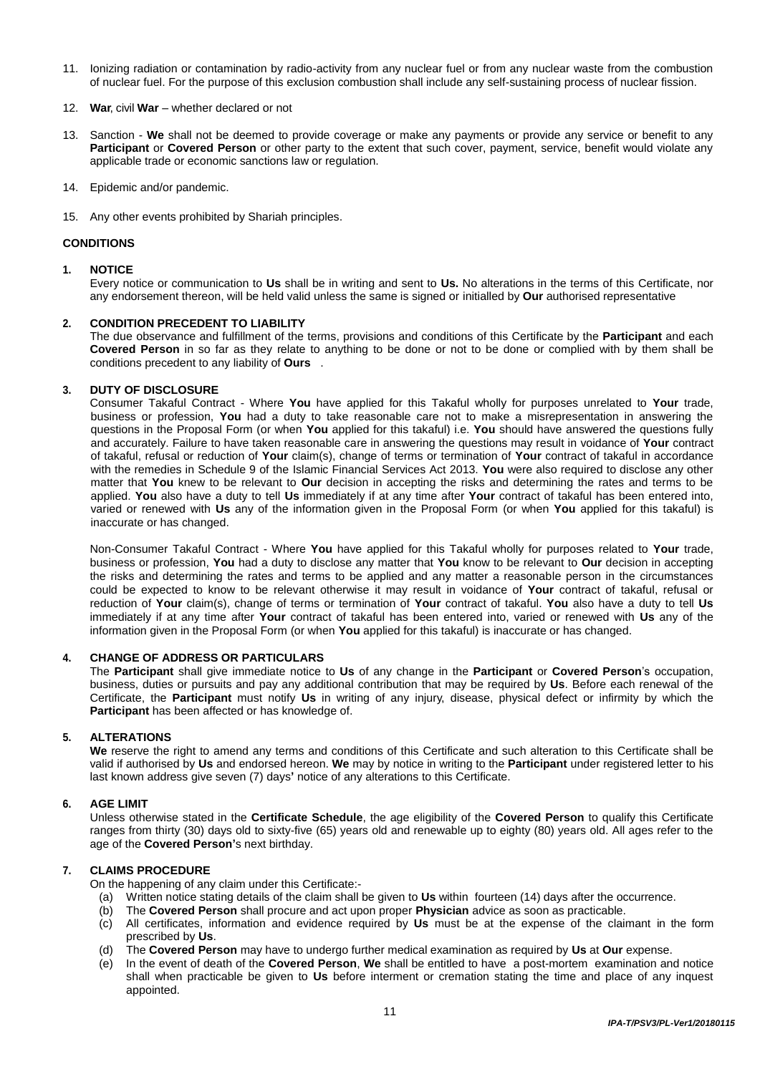- 11. Ionizing radiation or contamination by radio-activity from any nuclear fuel or from any nuclear waste from the combustion of nuclear fuel. For the purpose of this exclusion combustion shall include any self-sustaining process of nuclear fission.
- 12. **War**, civil **War** whether declared or not
- 13. Sanction **We** shall not be deemed to provide coverage or make any payments or provide any service or benefit to any **Participant** or **Covered Person** or other party to the extent that such cover, payment, service, benefit would violate any applicable trade or economic sanctions law or regulation.
- 14. Epidemic and/or pandemic.
- 15. Any other events prohibited by Shariah principles.

#### **CONDITIONS**

#### **1. NOTICE**

Every notice or communication to **Us** shall be in writing and sent to **Us.** No alterations in the terms of this Certificate, nor any endorsement thereon, will be held valid unless the same is signed or initialled by **Our** authorised representative

#### **2. CONDITION PRECEDENT TO LIABILITY**

The due observance and fulfillment of the terms, provisions and conditions of this Certificate by the **Participant** and each **Covered Person** in so far as they relate to anything to be done or not to be done or complied with by them shall be conditions precedent to any liability of **Ours** .

#### **3. DUTY OF DISCLOSURE**

Consumer Takaful Contract - Where **You** have applied for this Takaful wholly for purposes unrelated to **Your** trade, business or profession, **You** had a duty to take reasonable care not to make a misrepresentation in answering the questions in the Proposal Form (or when **You** applied for this takaful) i.e. **You** should have answered the questions fully and accurately. Failure to have taken reasonable care in answering the questions may result in voidance of **Your** contract of takaful, refusal or reduction of **Your** claim(s), change of terms or termination of **Your** contract of takaful in accordance with the remedies in Schedule 9 of the Islamic Financial Services Act 2013. **You** were also required to disclose any other matter that **You** knew to be relevant to **Our** decision in accepting the risks and determining the rates and terms to be applied. **You** also have a duty to tell **Us** immediately if at any time after **Your** contract of takaful has been entered into, varied or renewed with **Us** any of the information given in the Proposal Form (or when **You** applied for this takaful) is inaccurate or has changed.

Non-Consumer Takaful Contract - Where **You** have applied for this Takaful wholly for purposes related to **Your** trade, business or profession, **You** had a duty to disclose any matter that **You** know to be relevant to **Our** decision in accepting the risks and determining the rates and terms to be applied and any matter a reasonable person in the circumstances could be expected to know to be relevant otherwise it may result in voidance of **Your** contract of takaful, refusal or reduction of **Your** claim(s), change of terms or termination of **Your** contract of takaful. **You** also have a duty to tell **Us** immediately if at any time after **Your** contract of takaful has been entered into, varied or renewed with **Us** any of the information given in the Proposal Form (or when **You** applied for this takaful) is inaccurate or has changed.

#### **4. CHANGE OF ADDRESS OR PARTICULARS**

The **Participant** shall give immediate notice to **Us** of any change in the **Participant** or **Covered Person**'s occupation, business, duties or pursuits and pay any additional contribution that may be required by **Us**. Before each renewal of the Certificate, the **Participant** must notify **Us** in writing of any injury, disease, physical defect or infirmity by which the **Participant** has been affected or has knowledge of.

#### **5. ALTERATIONS**

**We** reserve the right to amend any terms and conditions of this Certificate and such alteration to this Certificate shall be valid if authorised by **Us** and endorsed hereon. **We** may by notice in writing to the **Participant** under registered letter to his last known address give seven (7) days**'** notice of any alterations to this Certificate.

#### **6. AGE LIMIT**

Unless otherwise stated in the **Certificate Schedule**, the age eligibility of the **Covered Person** to qualify this Certificate ranges from thirty (30) days old to sixty-five (65) years old and renewable up to eighty (80) years old. All ages refer to the age of the **Covered Person'**s next birthday.

#### **7. CLAIMS PROCEDURE**

On the happening of any claim under this Certificate:-

- (a) Written notice stating details of the claim shall be given to **Us** within fourteen (14) days after the occurrence.
- (b) The **Covered Person** shall procure and act upon proper **Physician** advice as soon as practicable.
- (c) All certificates, information and evidence required by **Us** must be at the expense of the claimant in the form prescribed by **Us**.
- (d) The **Covered Person** may have to undergo further medical examination as required by **Us** at **Our** expense.
- (e) In the event of death of the **Covered Person**, **We** shall be entitled to have a post-mortemexamination and notice shall when practicable be given to **Us** before interment or cremation stating the time and place of any inquest appointed.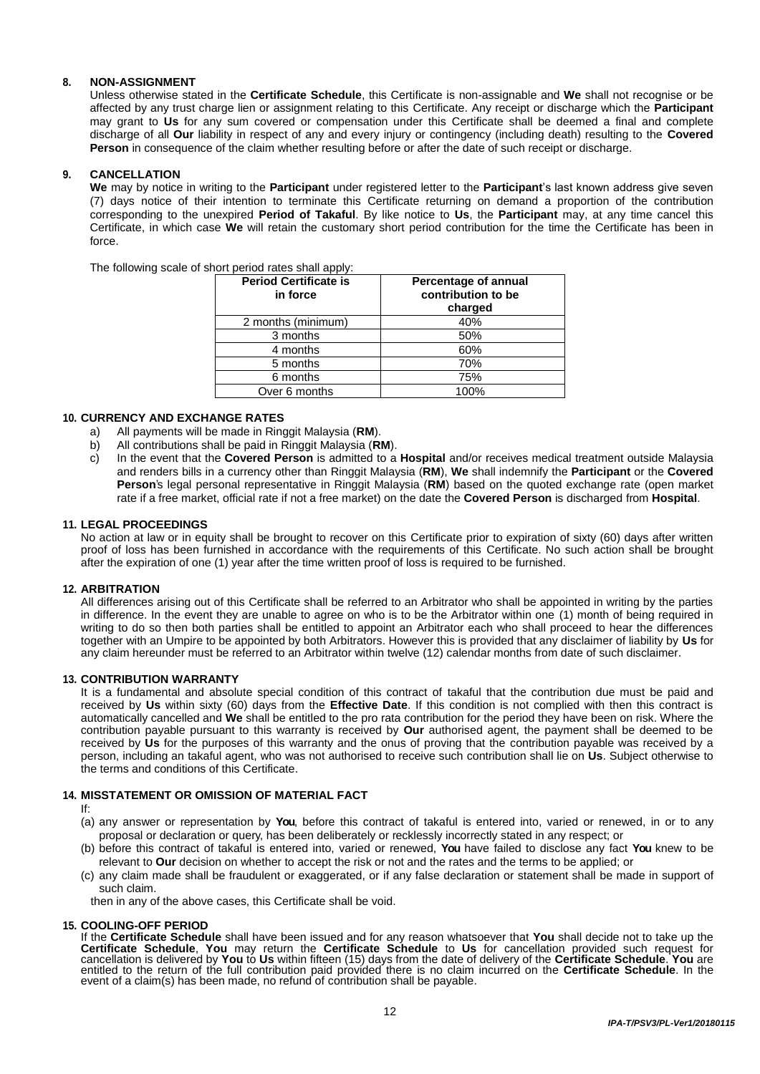# **8. NON-ASSIGNMENT**

Unless otherwise stated in the **Certificate Schedule**, this Certificate is non-assignable and **We** shall not recognise or be affected by any trust charge lien or assignment relating to this Certificate. Any receipt or discharge which the **Participant** may grant to **Us** for any sum covered or compensation under this Certificate shall be deemed a final and complete discharge of all **Our** liability in respect of any and every injury or contingency (including death) resulting to the **Covered Person** in consequence of the claim whether resulting before or after the date of such receipt or discharge.

# **9. CANCELLATION**

**We** may by notice in writing to the **Participant** under registered letter to the **Participant**'s last known address give seven (7) days notice of their intention to terminate this Certificate returning on demand a proportion of the contribution corresponding to the unexpired **Period of Takaful**. By like notice to **Us**, the **Participant** may, at any time cancel this Certificate, in which case **We** will retain the customary short period contribution for the time the Certificate has been in force.

The following scale of short period rates shall apply:

| <b>Period Certificate is</b><br>in force | Percentage of annual<br>contribution to be<br>charged |
|------------------------------------------|-------------------------------------------------------|
| 2 months (minimum)                       | 40%                                                   |
| 3 months                                 | 50%                                                   |
| 4 months                                 | 60%                                                   |
| 5 months                                 | 70%                                                   |
| 6 months                                 | 75%                                                   |
| Over 6 months                            | 100%                                                  |

#### **10. CURRENCY AND EXCHANGE RATES**

- a) All payments will be made in Ringgit Malaysia (**RM**).
- b) All contributions shall be paid in Ringgit Malaysia (**RM**).
- c) In the event that the **Covered Person** is admitted to a **Hospital** and/or receives medical treatment outside Malaysia and renders bills in a currency other than Ringgit Malaysia (**RM**), **We** shall indemnify the **Participant** or the **Covered Person**'s legal personal representative in Ringgit Malaysia (**RM**) based on the quoted exchange rate (open market rate if a free market, official rate if not a free market) on the date the **Covered Person** is discharged from **Hospital**.

#### **11. LEGAL PROCEEDINGS**

No action at law or in equity shall be brought to recover on this Certificate prior to expiration of sixty (60) days after written proof of loss has been furnished in accordance with the requirements of this Certificate. No such action shall be brought after the expiration of one (1) year after the time written proof of loss is required to be furnished.

#### **12. ARBITRATION**

All differences arising out of this Certificate shall be referred to an Arbitrator who shall be appointed in writing by the parties in difference. In the event they are unable to agree on who is to be the Arbitrator within one (1) month of being required in writing to do so then both parties shall be entitled to appoint an Arbitrator each who shall proceed to hear the differences together with an Umpire to be appointed by both Arbitrators. However this is provided that any disclaimer of liability by **Us** for any claim hereunder must be referred to an Arbitrator within twelve (12) calendar months from date of such disclaimer.

#### **13. CONTRIBUTION WARRANTY**

It is a fundamental and absolute special condition of this contract of takaful that the contribution due must be paid and received by **Us** within sixty (60) days from the **Effective Date**. If this condition is not complied with then this contract is automatically cancelled and **We** shall be entitled to the pro rata contribution for the period they have been on risk. Where the contribution payable pursuant to this warranty is received by **Our** authorised agent, the payment shall be deemed to be received by **Us** for the purposes of this warranty and the onus of proving that the contribution payable was received by a person, including an takaful agent, who was not authorised to receive such contribution shall lie on **Us**. Subject otherwise to the terms and conditions of this Certificate.

# **14. MISSTATEMENT OR OMISSION OF MATERIAL FACT**

If:

- (a) any answer or representation by **You**, before this contract of takaful is entered into, varied or renewed, in or to any proposal or declaration or query, has been deliberately or recklessly incorrectly stated in any respect; or
- (b) before this contract of takaful is entered into, varied or renewed, **You** have failed to disclose any fact **You** knew to be relevant to **Our** decision on whether to accept the risk or not and the rates and the terms to be applied; or
- (c) any claim made shall be fraudulent or exaggerated, or if any false declaration or statement shall be made in support of such claim.

then in any of the above cases, this Certificate shall be void.

#### **15. COOLING-OFF PERIOD**

If the **Certificate Schedule** shall have been issued and for any reason whatsoever that **You** shall decide not to take up the **Certificate Schedule**, **You** may return the **Certificate Schedule** to **Us** for cancellation provided such request for cancellation is delivered by **You** to **Us** within fifteen (15) days from the date of delivery of the **Certificate Schedule**. **You** are entitled to the return of the full contribution paid provided there is no claim incurred on the **Certificate Schedule**. In the event of a claim(s) has been made, no refund of contribution shall be payable.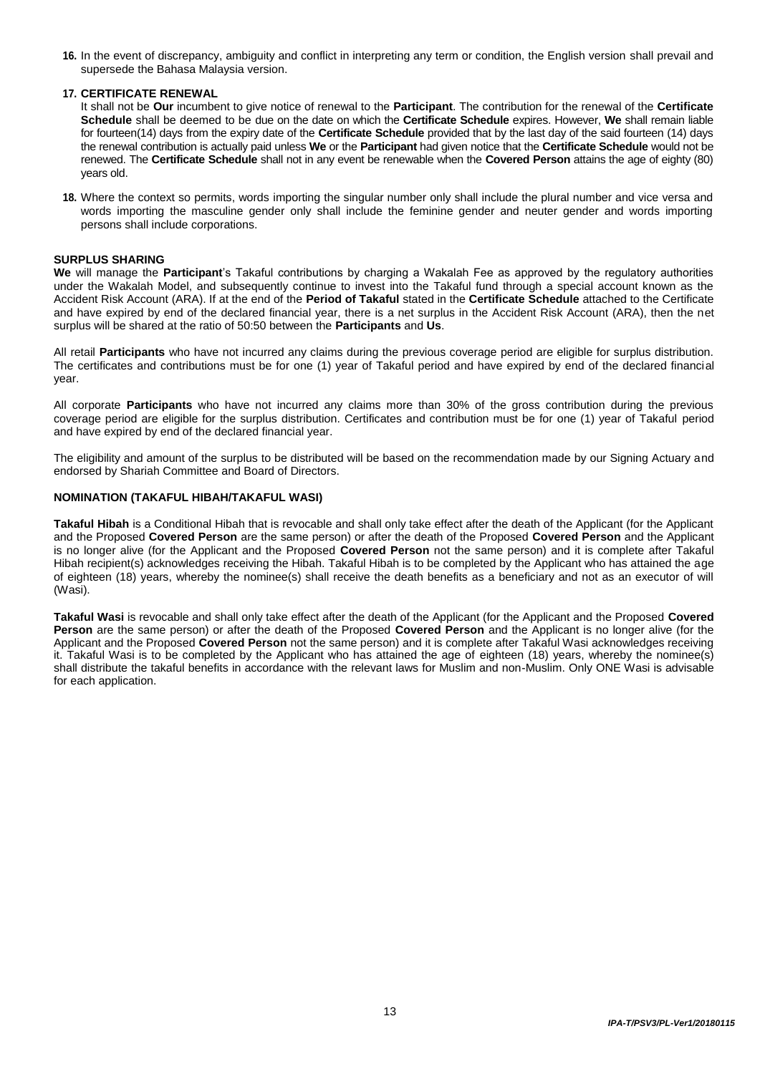**16.** In the event of discrepancy, ambiguity and conflict in interpreting any term or condition, the English version shall prevail and supersede the Bahasa Malaysia version.

# **17. CERTIFICATE RENEWAL**

It shall not be **Our** incumbent to give notice of renewal to the **Participant**. The contribution for the renewal of the **Certificate Schedule** shall be deemed to be due on the date on which the **Certificate Schedule** expires. However, **We** shall remain liable for fourteen(14) days from the expiry date of the **Certificate Schedule** provided that by the last day of the said fourteen (14) days the renewal contribution is actually paid unless **We** or the **Participant** had given notice that the **Certificate Schedule** would not be renewed. The **Certificate Schedule** shall not in any event be renewable when the **Covered Person** attains the age of eighty (80) years old.

**18.** Where the context so permits, words importing the singular number only shall include the plural number and vice versa and words importing the masculine gender only shall include the feminine gender and neuter gender and words importing persons shall include corporations.

#### **SURPLUS SHARING**

**We** will manage the **Participant**'s Takaful contributions by charging a Wakalah Fee as approved by the regulatory authorities under the Wakalah Model, and subsequently continue to invest into the Takaful fund through a special account known as the Accident Risk Account (ARA). If at the end of the **Period of Takaful** stated in the **Certificate Schedule** attached to the Certificate and have expired by end of the declared financial year, there is a net surplus in the Accident Risk Account (ARA), then the net surplus will be shared at the ratio of 50:50 between the **Participants** and **Us**.

All retail **Participants** who have not incurred any claims during the previous coverage period are eligible for surplus distribution. The certificates and contributions must be for one (1) year of Takaful period and have expired by end of the declared financial year.

All corporate **Participants** who have not incurred any claims more than 30% of the gross contribution during the previous coverage period are eligible for the surplus distribution. Certificates and contribution must be for one (1) year of Takaful period and have expired by end of the declared financial year.

The eligibility and amount of the surplus to be distributed will be based on the recommendation made by our Signing Actuary and endorsed by Shariah Committee and Board of Directors.

#### **NOMINATION (TAKAFUL HIBAH/TAKAFUL WASI)**

**Takaful Hibah** is a Conditional Hibah that is revocable and shall only take effect after the death of the Applicant (for the Applicant and the Proposed **Covered Person** are the same person) or after the death of the Proposed **Covered Person** and the Applicant is no longer alive (for the Applicant and the Proposed **Covered Person** not the same person) and it is complete after Takaful Hibah recipient(s) acknowledges receiving the Hibah. Takaful Hibah is to be completed by the Applicant who has attained the age of eighteen (18) years, whereby the nominee(s) shall receive the death benefits as a beneficiary and not as an executor of will (Wasi).

**Takaful Wasi** is revocable and shall only take effect after the death of the Applicant (for the Applicant and the Proposed **Covered Person** are the same person) or after the death of the Proposed **Covered Person** and the Applicant is no longer alive (for the Applicant and the Proposed **Covered Person** not the same person) and it is complete after Takaful Wasi acknowledges receiving it. Takaful Wasi is to be completed by the Applicant who has attained the age of eighteen (18) years, whereby the nominee(s) shall distribute the takaful benefits in accordance with the relevant laws for Muslim and non-Muslim. Only ONE Wasi is advisable for each application.